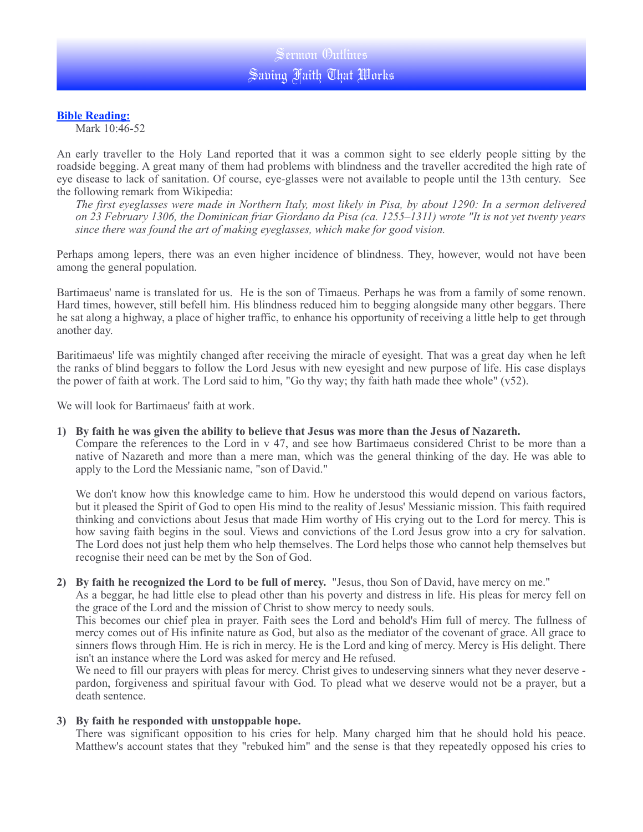# **Bible Reading:**

Mark 10:46-52

An early traveller to the Holy Land reported that it was a common sight to see elderly people sitting by the roadside begging. A great many of them had problems with blindness and the traveller accredited the high rate of eye disease to lack of sanitation. Of course, eye-glasses were not available to people until the 13th century. See the following remark from Wikipedia:

*The first eyeglasses were made in Northern Italy, most likely in Pisa, by about 1290: In a sermon delivered on 23 February 1306, the Dominican friar Giordano da Pisa (ca. 1255–1311) wrote "It is not yet twenty years since there was found the art of making eyeglasses, which make for good vision.*

Perhaps among lepers, there was an even higher incidence of blindness. They, however, would not have been among the general population.

Bartimaeus' name is translated for us. He is the son of Timaeus. Perhaps he was from a family of some renown. Hard times, however, still befell him. His blindness reduced him to begging alongside many other beggars. There he sat along a highway, a place of higher traffic, to enhance his opportunity of receiving a little help to get through another day.

Baritimaeus' life was mightily changed after receiving the miracle of eyesight. That was a great day when he left the ranks of blind beggars to follow the Lord Jesus with new eyesight and new purpose of life. His case displays the power of faith at work. The Lord said to him, "Go thy way; thy faith hath made thee whole" (v52).

We will look for Bartimaeus' faith at work.

### **1) By faith he was given the ability to believe that Jesus was more than the Jesus of Nazareth.**

Compare the references to the Lord in v 47, and see how Bartimaeus considered Christ to be more than a native of Nazareth and more than a mere man, which was the general thinking of the day. He was able to apply to the Lord the Messianic name, "son of David."

We don't know how this knowledge came to him. How he understood this would depend on various factors, but it pleased the Spirit of God to open His mind to the reality of Jesus' Messianic mission. This faith required thinking and convictions about Jesus that made Him worthy of His crying out to the Lord for mercy. This is how saving faith begins in the soul. Views and convictions of the Lord Jesus grow into a cry for salvation. The Lord does not just help them who help themselves. The Lord helps those who cannot help themselves but recognise their need can be met by the Son of God.

### **2) By faith he recognized the Lord to be full of mercy.** "Jesus, thou Son of David, have mercy on me."

As a beggar, he had little else to plead other than his poverty and distress in life. His pleas for mercy fell on the grace of the Lord and the mission of Christ to show mercy to needy souls.

This becomes our chief plea in prayer. Faith sees the Lord and behold's Him full of mercy. The fullness of mercy comes out of His infinite nature as God, but also as the mediator of the covenant of grace. All grace to sinners flows through Him. He is rich in mercy. He is the Lord and king of mercy. Mercy is His delight. There isn't an instance where the Lord was asked for mercy and He refused.

We need to fill our prayers with pleas for mercy. Christ gives to undeserving sinners what they never deserve pardon, forgiveness and spiritual favour with God. To plead what we deserve would not be a prayer, but a death sentence.

### **3) By faith he responded with unstoppable hope.**

There was significant opposition to his cries for help. Many charged him that he should hold his peace. Matthew's account states that they "rebuked him" and the sense is that they repeatedly opposed his cries to